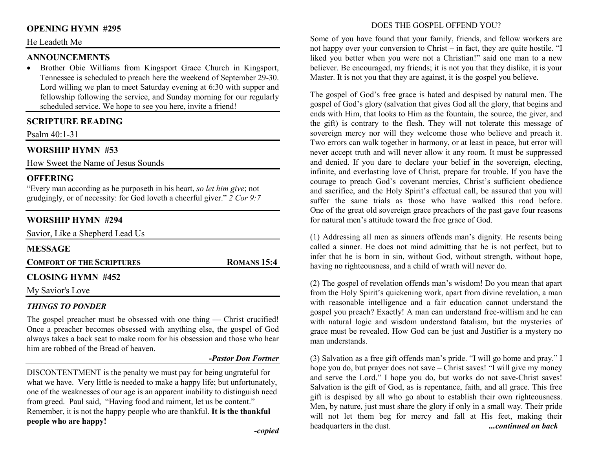## **OPENING HYMN #295**

### He Leadeth Me

### **ANNOUNCEMENTS**

 • Brother Obie Williams from Kingsport Grace Church in Kingsport, Tennessee is scheduled to preach here the weekend of September 29-30. Lord willing we plan to meet Saturday evening at 6:30 with supper and fellowship following the service, and Sunday morning for our regularly scheduled service. We hope to see you here, invite a friend!

### **SCRIPTURE READING**

Psalm 40:1-31

# **WORSHIP HYMN #53**

How Sweet the Name of Jesus Sounds

### **OFFERING**

 "Every man according as he purposeth in his heart, *so let him give*; not grudgingly, or of necessity: for God loveth a cheerful giver." *2 Cor 9:7*

# **WORSHIP HYMN #294**

| Savior, Like a Shepherd Lead Us  |                    |
|----------------------------------|--------------------|
| <b>MESSAGE</b>                   |                    |
| <b>COMFORT OF THE SCRIPTURES</b> | <b>ROMANS 15:4</b> |
| <b>CLOSING HYMN #452</b>         |                    |
| My Savior's Love                 |                    |
|                                  |                    |

### *THINGS TO PONDER*

The gospel preacher must be obsessed with one thing - Christ crucified! Once a preacher becomes obsessed with anything else, the gospel of God always takes a back seat to make room for his obsession and those who hear him are robbed of the Bread of heaven.

#### *-Pastor Don Fortner*

DISCONTENTMENT is the penalty we must pay for being ungrateful for what we have. Very little is needed to make a happy life; but unfortunately, one of the weaknesses of our age is an apparent inability to distinguish need from greed. Paul said, "Having food and raiment, let us be content." Remember, it is not the happy people who are thankful. **It is the thankful people who are happy!** 

### DOES THE GOSPEL OFFEND YOU?

Some of you have found that your family, friends, and fellow workers are not happy over your conversion to Christ – in fact, they are quite hostile. "I liked you better when you were not a Christian!" said one man to a new believer. Be encouraged, my friends; it is not you that they dislike, it is your Master. It is not you that they are against, it is the gospel you believe.

The gospel of God's free grace is hated and despised by natural men. The gospel of God's glory (salvation that gives God all the glory, that begins and ends with Him, that looks to Him as the fountain, the source, the giver, and the gift) is contrary to the flesh. They will not tolerate this message of sovereign mercy nor will they welcome those who believe and preach it. Two errors can walk together in harmony, or at least in peace, but error will never accept truth and will never allow it any room. It must be suppressed and denied. If you dare to declare your belief in the sovereign, electing, infinite, and everlasting love of Christ, prepare for trouble. If you have the courage to preach God's covenant mercies, Christ's sufficient obedience and sacrifice, and the Holy Spirit's effectual call, be assured that you will suffer the same trials as those who have walked this road before. One of the great old sovereign grace preachers of the past gave four reasons for natural men's attitude toward the free grace of God.

(1) Addressing all men as sinners offends man's dignity. He resents being called a sinner. He does not mind admitting that he is not perfect, but to infer that he is born in sin, without God, without strength, without hope, having no righteousness, and a child of wrath will never do.

(2) The gospel of revelation offends man's wisdom! Do you mean that apart from the Holy Spirit's quickening work, apart from divine revelation, a man with reasonable intelligence and a fair education cannot understand the gospel you preach? Exactly! A man can understand free-willism and he can with natural logic and wisdom understand fatalism, but the mysteries of grace must be revealed. How God can be just and Justifier is a mystery no man understands.

(3) Salvation as a free gift offends man's pride. "I will go home and pray." I hope you do, but prayer does not save – Christ saves! "I will give my money and serve the Lord." I hope you do, but works do not save-Christ saves! Salvation is the gift of God, as is repentance, faith, and all grace. This free gift is despised by all who go about to establish their own righteousness. Men, by nature, just must share the glory if only in a small way. Their pride will not let them beg for mercy and fall at His feet, making their headquarters in the dust. *...continued on back*